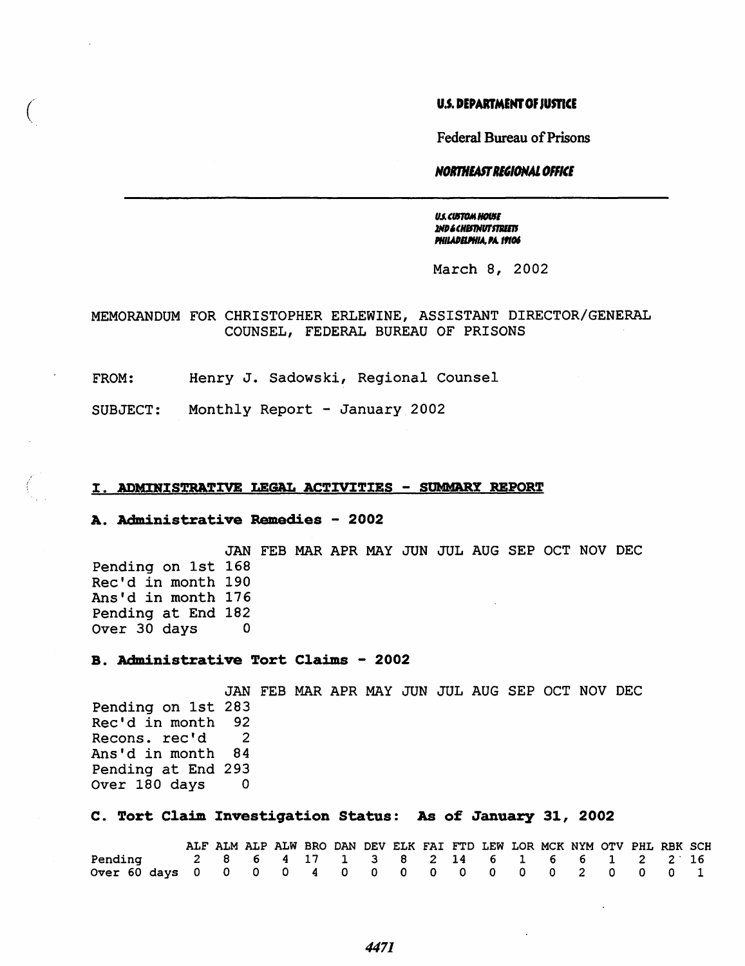# U.S. DEPARTMENT OF JUSTICE

Federal Bureau of Prisons

#### *NOlmllASTRl"ONAl OFFill*

**US. CUSTOM HOUSE** 2ND & CHISTNUT STREETS **PHILADELPHIA, PA. 19106** 

March 8, 2002

# MEMORANDUM FOR CHRISTOPHER ERLEWINE, ASSISTANT DIRECTOR/GENERAL COUNSEL, FEDERAL BUREAU OF PRISONS

FROM: Henry J. Sadowski, Regional Counsel

SUBJECT: Monthly Report - January 2002

### I. ADMINISTRATIVE LEGAL ACTIVITIES - SUMMARY REPORT

## A. Administrative Remedies - 2002

JAN FEB MAR APR MAY JUN JUL AUG SEP OCT NOV DEC Pending on 1st 168 Rec'd in month 190 Ans'd in month 176 Pending at End 182 Over 30 days 0

## B. Administrative Tort Claims - 2002

JAN FEB MAR APR MAY JUN JUL AUG SEP OCT NOV DEC Pending on 1st 283 Rec'd in month 92<br>Recons, rec'd 2 Recons. rec'd 2<br>Ans'd in month 84 Ans'd in month Pending at End 293<br>Over 180 days 0 Over 180 days

## C. Tort Claim Investigation Status: As of January 31, 2002

|                                                    |  |  |  |  |  |  |  | ALF ALM ALP ALW BRO DAN DEV ELK FAI FTD LEW LOR MCK NYM OTV PHL RBK SCH |  |
|----------------------------------------------------|--|--|--|--|--|--|--|-------------------------------------------------------------------------|--|
| Pending 2 8 6 4 17 1 3 8 2 14 6 1 6 6 1 2 2 16     |  |  |  |  |  |  |  |                                                                         |  |
| Over 60 days 0 0 0 0 4 0 0 0 0 0 0 0 0 0 2 0 0 0 1 |  |  |  |  |  |  |  |                                                                         |  |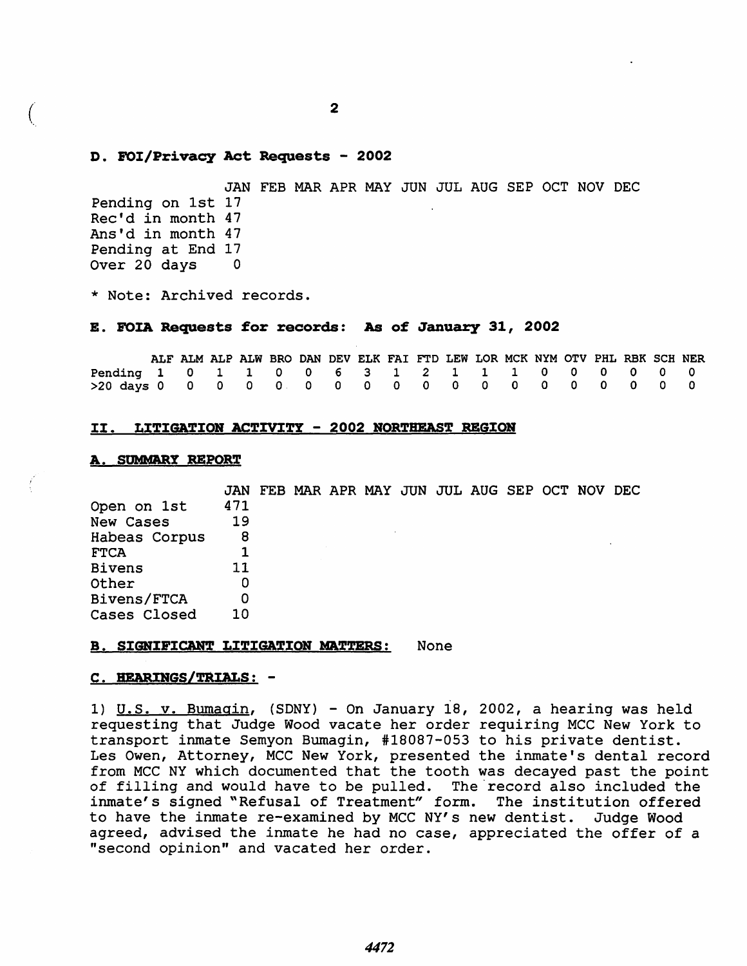### D. FOI/Privacy Act Requests - 2002

JAN FEB MAR APR MAY JUN JUL AUG SEP OCT NOV DEC Pending on 1st 17 Rec'd in month 47 Ans'd in month 47 Pending at End 17 Over 20 days 0

\* Note: Archived records.

### E. FOIA Requests for records: As of January 31, 2002

|                                                 |  | ALF ALM ALP ALW BRO DAN DEV ELK FAI FTD LEW LOR MCK NYM OTV PHL RBK SCH NER |  |  |  |  |  |  |  |  |
|-------------------------------------------------|--|-----------------------------------------------------------------------------|--|--|--|--|--|--|--|--|
| Pending 1 0 1 1 0 0 6 3 1 2 1 1 1 0 0 0 0 0 0 0 |  |                                                                             |  |  |  |  |  |  |  |  |
|                                                 |  |                                                                             |  |  |  |  |  |  |  |  |

#### II. LITIGATION ACTIVITY - 2002 NORTHEAST REGION

#### A. SUMMARY REPORT

Open on 1st New Cases Habeas Corpus FTCA JAN FEB MAR APR MAY JUN JUL AUG SEP OCT NOV DEC 471 Bivens Other Bivens/FTCA Cases Closed 19 8 1 11 o o 10

#### **B. SIGNIFICANT LITIGATION MATTERS:** None

## C. HEARINGS/TRIALS: -

I) U.S. v. Bumagin, (SONY) - On January 18, 2002, a hearing was held requesting that Judge Wood vacate her order requiring MCC New York to transport inmate Semyon Bumagin, #18087-053 to his private dentist. Les Owen, Attorney, MCC New York, presented the inmate's dental record from MCC NY which documented that the tooth was decayed past the point of filling and would have to be pulled. The record also included the inmate's signed "Refusal of Treatment" form. The institution offered to have the inmate re-examined by MCC NY's new dentist. Judge Wood agreed, advised the inmate he had no case, appreciated the offer of a "second opinion" and vacated her order.